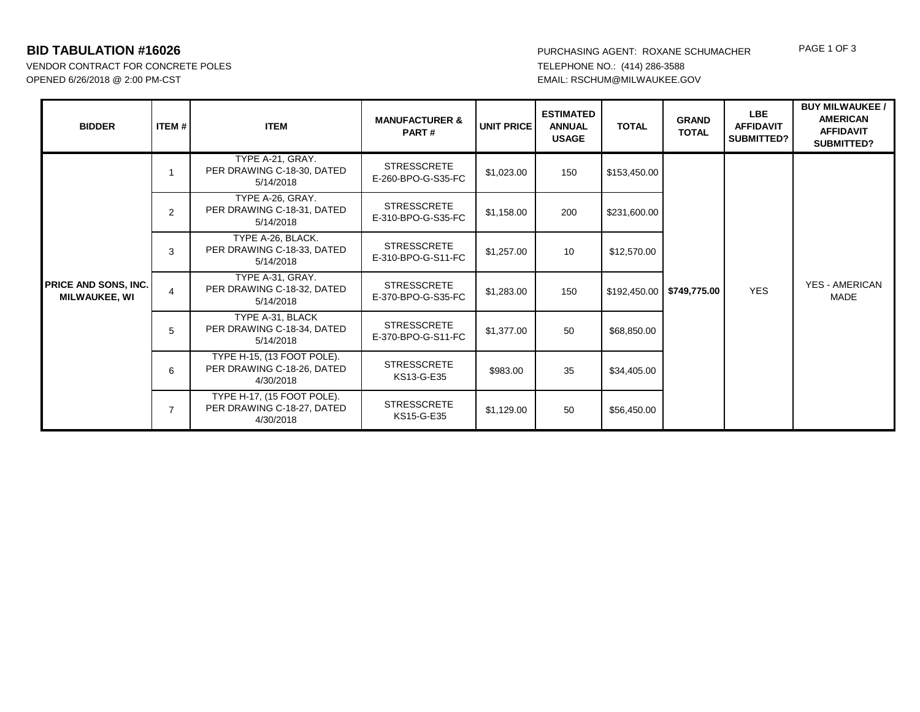VENDOR CONTRACT FOR CONCRETE POLES OPENED 6/26/2018 @ 2:00 PM-CST EMAIL: RSCHUM@MILWAUKEE.GOV

|  | <b>BIDDER</b>                                       | <b>ITEM #</b>  | <b>ITEM</b>                                                           | <b>MANUFACTURER &amp;</b><br>PART#       | UNIT PRICE | <b>ESTIMATED</b><br><b>ANNUAL</b><br><b>USAGE</b> | <b>TOTAL</b> | <b>GRAND</b><br><b>TOTAL</b> | <b>LBE</b><br><b>AFFIDAVIT</b><br><b>SUBMITTED?</b> | <b>BUY MILWAUKEE /</b><br><b>AMERICAN</b><br><b>AFFIDAVIT</b><br>SUBMITTED? |
|--|-----------------------------------------------------|----------------|-----------------------------------------------------------------------|------------------------------------------|------------|---------------------------------------------------|--------------|------------------------------|-----------------------------------------------------|-----------------------------------------------------------------------------|
|  | <b>PRICE AND SONS, INC.</b><br><b>MILWAUKEE, WI</b> |                | TYPE A-21, GRAY.<br>PER DRAWING C-18-30, DATED<br>5/14/2018           | <b>STRESSCRETE</b><br>E-260-BPO-G-S35-FC | \$1,023.00 | 150                                               | \$153,450.00 | <b>YES</b><br>\$749,775.00   |                                                     |                                                                             |
|  |                                                     | $\overline{2}$ | TYPE A-26, GRAY.<br>PER DRAWING C-18-31, DATED<br>5/14/2018           | <b>STRESSCRETE</b><br>E-310-BPO-G-S35-FC | \$1,158.00 | 200                                               | \$231,600.00 |                              |                                                     |                                                                             |
|  |                                                     | 3              | TYPE A-26, BLACK.<br>PER DRAWING C-18-33, DATED<br>5/14/2018          | <b>STRESSCRETE</b><br>E-310-BPO-G-S11-FC | \$1,257.00 | 10                                                | \$12,570.00  |                              |                                                     |                                                                             |
|  |                                                     | 4              | TYPE A-31, GRAY.<br>PER DRAWING C-18-32, DATED<br>5/14/2018           | <b>STRESSCRETE</b><br>E-370-BPO-G-S35-FC | \$1,283.00 | 150                                               | \$192,450.00 |                              | <b>YES - AMERICAN</b><br>MADE                       |                                                                             |
|  |                                                     | 5              | TYPE A-31, BLACK<br>PER DRAWING C-18-34, DATED<br>5/14/2018           | <b>STRESSCRETE</b><br>E-370-BPO-G-S11-FC | \$1,377.00 | 50                                                | \$68,850.00  |                              |                                                     |                                                                             |
|  |                                                     | 6              | TYPE H-15, (13 FOOT POLE).<br>PER DRAWING C-18-26, DATED<br>4/30/2018 | <b>STRESSCRETE</b><br>KS13-G-E35         | \$983.00   | 35                                                | \$34,405.00  |                              |                                                     |                                                                             |
|  |                                                     | $\overline{7}$ | TYPE H-17, (15 FOOT POLE).<br>PER DRAWING C-18-27, DATED<br>4/30/2018 | <b>STRESSCRETE</b><br>KS15-G-E35         | \$1,129.00 | 50                                                | \$56,450.00  |                              |                                                     |                                                                             |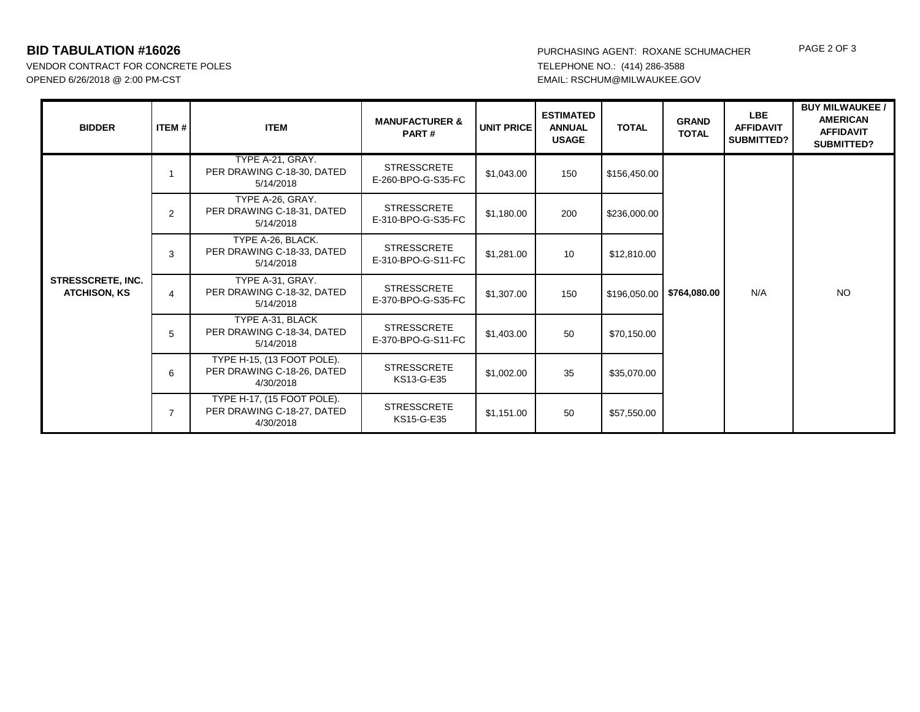VENDOR CONTRACT FOR CONCRETE POLES OPENED 6/26/2018 @ 2:00 PM-CST EMAIL: RSCHUM@MILWAUKEE.GOV

| <b>BIDDER</b>                            | ITEM #         | <b>ITEM</b>                                                           | <b>MANUFACTURER &amp;</b><br>PART#       | <b>UNIT PRICE</b> | <b>ESTIMATED</b><br><b>ANNUAL</b><br><b>USAGE</b> | <b>TOTAL</b> | <b>GRAND</b><br><b>TOTAL</b> | <b>LBE</b><br><b>AFFIDAVIT</b><br><b>SUBMITTED?</b> | <b>BUY MILWAUKEE /</b><br><b>AMERICAN</b><br><b>AFFIDAVIT</b><br>SUBMITTED? |
|------------------------------------------|----------------|-----------------------------------------------------------------------|------------------------------------------|-------------------|---------------------------------------------------|--------------|------------------------------|-----------------------------------------------------|-----------------------------------------------------------------------------|
| STRESSCRETE, INC.<br><b>ATCHISON, KS</b> |                | TYPE A-21, GRAY.<br>PER DRAWING C-18-30, DATED<br>5/14/2018           | <b>STRESSCRETE</b><br>E-260-BPO-G-S35-FC | \$1,043.00        | 150                                               | \$156,450.00 | N/A<br>\$764,080.00          |                                                     |                                                                             |
|                                          | $\overline{2}$ | TYPE A-26, GRAY.<br>PER DRAWING C-18-31, DATED<br>5/14/2018           | <b>STRESSCRETE</b><br>E-310-BPO-G-S35-FC | \$1,180.00        | 200                                               | \$236,000.00 |                              |                                                     |                                                                             |
|                                          | 3              | TYPE A-26, BLACK.<br>PER DRAWING C-18-33, DATED<br>5/14/2018          | <b>STRESSCRETE</b><br>E-310-BPO-G-S11-FC | \$1,281.00        | 10                                                | \$12,810.00  |                              |                                                     |                                                                             |
|                                          | $\overline{4}$ | TYPE A-31, GRAY.<br>PER DRAWING C-18-32, DATED<br>5/14/2018           | <b>STRESSCRETE</b><br>E-370-BPO-G-S35-FC | \$1,307.00        | 150                                               | \$196,050.00 |                              | <b>NO</b>                                           |                                                                             |
|                                          | 5              | TYPE A-31, BLACK<br>PER DRAWING C-18-34, DATED<br>5/14/2018           | <b>STRESSCRETE</b><br>E-370-BPO-G-S11-FC | \$1,403.00        | 50                                                | \$70,150.00  |                              |                                                     |                                                                             |
|                                          | 6              | TYPE H-15, (13 FOOT POLE).<br>PER DRAWING C-18-26, DATED<br>4/30/2018 | <b>STRESSCRETE</b><br>KS13-G-E35         | \$1,002.00        | 35                                                | \$35,070.00  |                              |                                                     |                                                                             |
|                                          |                | TYPE H-17, (15 FOOT POLE).<br>PER DRAWING C-18-27, DATED<br>4/30/2018 | <b>STRESSCRETE</b><br>KS15-G-E35         | \$1,151.00        | 50                                                | \$57,550.00  |                              |                                                     |                                                                             |